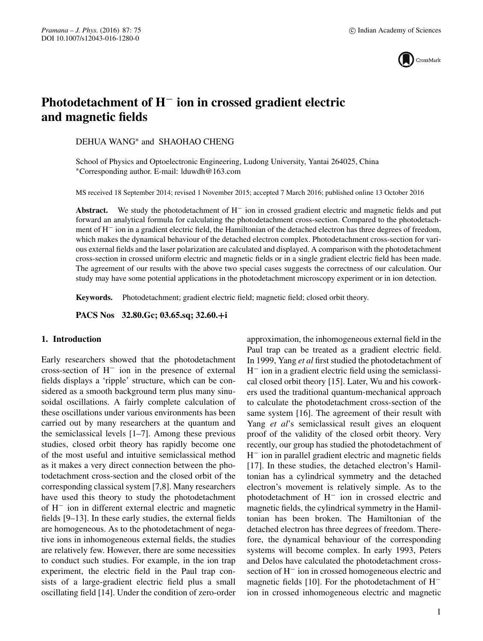

# **Photodetachment of H**− **ion in crossed gradient electric and magnetic fields**

DEHUA WANG∗ and SHAOHAO CHENG

School of Physics and Optoelectronic Engineering, Ludong University, Yantai 264025, China ∗Corresponding author. E-mail: lduwdh@163.com

MS received 18 September 2014; revised 1 November 2015; accepted 7 March 2016; published online 13 October 2016

**Abstract.** We study the photodetachment of H− ion in crossed gradient electric and magnetic fields and put forward an analytical formula for calculating the photodetachment cross-section. Compared to the photodetachment of H− ion in a gradient electric field, the Hamiltonian of the detached electron has three degrees of freedom, which makes the dynamical behaviour of the detached electron complex. Photodetachment cross-section for various external fields and the laser polarization are calculated and displayed. A comparison with the photodetachment cross-section in crossed uniform electric and magnetic fields or in a single gradient electric field has been made. The agreement of our results with the above two special cases suggests the correctness of our calculation. Our study may have some potential applications in the photodetachment microscopy experiment or in ion detection.

**Keywords.** Photodetachment; gradient electric field; magnetic field; closed orbit theory.

**PACS Nos 32.80.Gc; 03.65.sq; 32.60.+i**

## **1. Introduction**

Early researchers showed that the photodetachment cross-section of H− ion in the presence of external fields displays a 'ripple' structure, which can be considered as a smooth background term plus many sinusoidal oscillations. A fairly complete calculation of these oscillations under various environments has been carried out by many researchers at the quantum and the semiclassical levels [1–7]. Among these previous studies, closed orbit theory has rapidly become one of the most useful and intuitive semiclassical method as it makes a very direct connection between the photodetachment cross-section and the closed orbit of the corresponding classical system [7,8]. Many researchers have used this theory to study the photodetachment of H− ion in different external electric and magnetic fields [9–13]. In these early studies, the external fields are homogeneous. As to the photodetachment of negative ions in inhomogeneous external fields, the studies are relatively few. However, there are some necessities to conduct such studies. For example, in the ion trap experiment, the electric field in the Paul trap consists of a large-gradient electric field plus a small oscillating field [14]. Under the condition of zero-order approximation, the inhomogeneous external field in the Paul trap can be treated as a gradient electric field. In 1999, Yang *et al* first studied the photodetachment of H− ion in a gradient electric field using the semiclassical closed orbit theory [15]. Later, Wu and his coworkers used the traditional quantum-mechanical approach to calculate the photodetachment cross-section of the same system [16]. The agreement of their result with Yang *et al's* semiclassical result gives an eloquent proof of the validity of the closed orbit theory. Very recently, our group has studied the photodetachment of H− ion in parallel gradient electric and magnetic fields [17]. In these studies, the detached electron's Hamiltonian has a cylindrical symmetry and the detached electron's movement is relatively simple. As to the photodetachment of H− ion in crossed electric and magnetic fields, the cylindrical symmetry in the Hamiltonian has been broken. The Hamiltonian of the detached electron has three degrees of freedom. Therefore, the dynamical behaviour of the corresponding systems will become complex. In early 1993, Peters and Delos have calculated the photodetachment crosssection of H− ion in crossed homogeneous electric and magnetic fields [10]. For the photodetachment of H− ion in crossed inhomogeneous electric and magnetic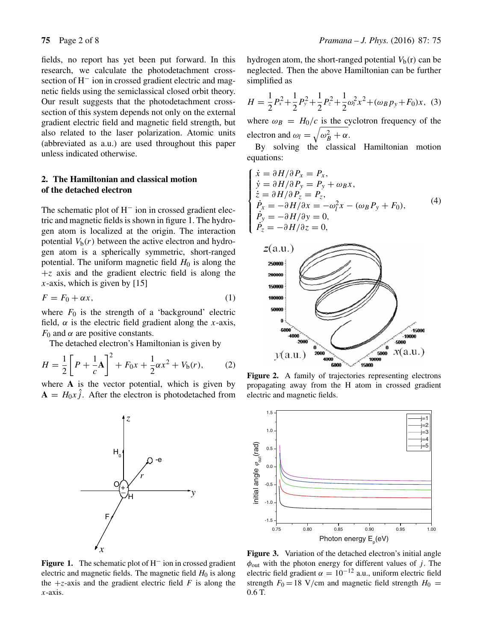fields, no report has yet been put forward. In this research, we calculate the photodetachment crosssection of H<sup>−</sup> ion in crossed gradient electric and magnetic fields using the semiclassical closed orbit theory. Our result suggests that the photodetachment crosssection of this system depends not only on the external gradient electric field and magnetic field strength, but also related to the laser polarization. Atomic units (abbreviated as a.u.) are used throughout this paper unless indicated otherwise.

## **2. The Hamiltonian and classical motion of the detached electron**

The schematic plot of H<sup>−</sup> ion in crossed gradient electric and magnetic fields is shown in figure 1. The hydrogen atom is localized at the origin. The interaction potential  $V_b(r)$  between the active electron and hydrogen atom is a spherically symmetric, short-ranged potential. The uniform magnetic field  $H_0$  is along the  $+z$  axis and the gradient electric field is along the  $x$ -axis, which is given by [15]

$$
F = F_0 + \alpha x,\tag{1}
$$

where  $F_0$  is the strength of a 'background' electric field,  $\alpha$  is the electric field gradient along the x-axis,  $F_0$  and  $\alpha$  are positive constants.

The detached electron's Hamiltonian is given by

$$
H = \frac{1}{2} \left[ P + \frac{1}{c} A \right]^2 + F_0 x + \frac{1}{2} \alpha x^2 + V_b(r), \tag{2}
$$

where **A** is the vector potential, which is given by  $A = H_0x \hat{j}$ . After the electron is photodetached from

*r*

-e

*z*

**Figure 1.** The schematic plot of H− ion in crossed gradient electric and magnetic fields. The magnetic field  $H_0$  is along the  $+z$ -axis and the gradient electric field F is along the  $x$ -axis.

*y*

F

*x*

O

{⊦

H

 $H^{\vphantom{\dagger}}_{_{\rm o}}$ 

hydrogen atom, the short-ranged potential  $V<sub>b</sub>(r)$  can be neglected. Then the above Hamiltonian can be further simplified as

$$
H = \frac{1}{2}P_x^2 + \frac{1}{2}P_y^2 + \frac{1}{2}P_z^2 + \frac{1}{2}\omega_l^2 x^2 + (\omega_B p_y + F_0)x, \tag{3}
$$

where  $\omega_B = H_0/c$  is the cyclotron frequency of the electron and  $\omega_l = \sqrt{\omega_B^2 + \alpha}$ .

By solving the classical Hamiltonian motion equations:

$$
\begin{cases}\n\dot{x} = \partial H/\partial P_x = P_x, \\
\dot{y} = \partial H/\partial P_y = P_y + \omega_B x, \\
\dot{z} = \partial H/\partial P_z = P_z, \\
\dot{P_x} = -\partial H/\partial x = -\omega_f^2 x - (\omega_B P_y + F_0), \\
\dot{P_y} = -\partial H/\partial y = 0, \\
\dot{P_z} = -\partial H/\partial z = 0,\n\end{cases}
$$
\n(4)



**Figure 2.** A family of trajectories representing electrons propagating away from the H atom in crossed gradient electric and magnetic fields.



**Figure 3.** Variation of the detached electron's initial angle  $\phi_{\text{out}}$  with the photon energy for different values of j. The electric field gradient  $\alpha = 10^{-12}$  a.u., uniform electric field strength  $F_0 = 18$  V/cm and magnetic field strength  $H_0 =$ 0.6 T.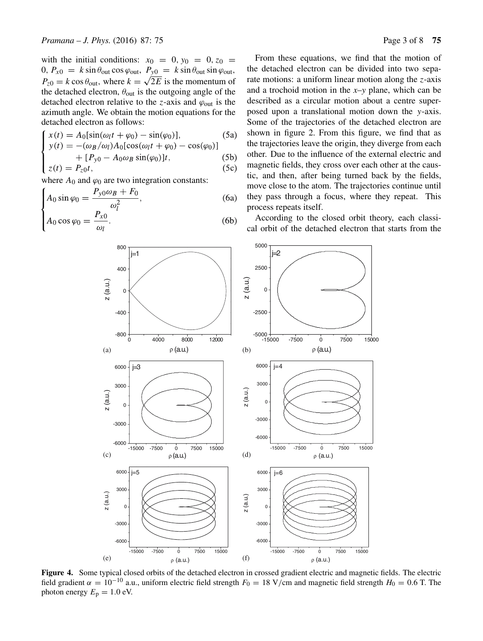with the initial conditions:  $x_0 = 0, y_0 = 0, z_0 =$ 0,  $P_{x0} = k \sin \theta_{\text{out}} \cos \varphi_{\text{out}}$ ,  $P_{y0} = k \sin \theta_{\text{out}} \sin \varphi_{\text{out}}$ ,  $P_{z0} = k \cos \theta_{\text{out}}$ , where  $k = \sqrt{2E}$  is the momentum of the detached electron,  $\theta_{\text{out}}$  is the outgoing angle of the detached electron relative to the z-axis and  $\varphi_{\text{out}}$  is the azimuth angle. We obtain the motion equations for the detached electron as follows:

$$
\begin{cases}\nx(t) = A_0[\sin(\omega_l t + \varphi_0) - \sin(\varphi_0)], & (5a) \\
y(t) = -(\omega_B/\omega_l)A_0[\cos(\omega_l t + \varphi_0) - \cos(\varphi_0)] \\
+ [P_{y0} - A_0\omega_B \sin(\varphi_0)]t, & (5b) \\
z(t) = P_{z0}t, & (5c)\n\end{cases}
$$

where  $A_0$  and  $\varphi_0$  are two integration constants:

$$
\int A_0 \sin \varphi_0 = \frac{P_{y0} \omega_B + F_0}{\omega_r^2},\tag{6a}
$$

$$
A_0 \cos \varphi_0 = \frac{P_{x0}}{\omega_l}.
$$
 (6b)

From these equations, we find that the motion of the detached electron can be divided into two separate motions: a uniform linear motion along the  $z$ -axis and a trochoid motion in the *x*–*y* plane, which can be described as a circular motion about a centre superposed upon a translational motion down the y-axis. Some of the trajectories of the detached electron are shown in figure 2. From this figure, we find that as the trajectories leave the origin, they diverge from each other. Due to the influence of the external electric and magnetic fields, they cross over each other at the caustic, and then, after being turned back by the fields, move close to the atom. The trajectories continue until they pass through a focus, where they repeat. This process repeats itself.

According to the closed orbit theory, each classical orbit of the detached electron that starts from the



**Figure 4.** Some typical closed orbits of the detached electron in crossed gradient electric and magnetic fields. The electric field gradient  $\alpha = 10^{-10}$  a.u., uniform electric field strength  $F_0 = 18 \text{ V/cm}$  and magnetic field strength  $H_0 = 0.6 \text{ T}$ . The photon energy  $E_p = 1.0$  eV.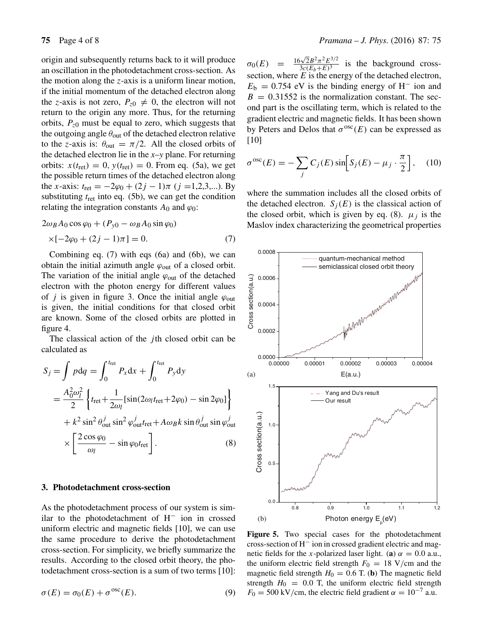origin and subsequently returns back to it will produce an oscillation in the photodetachment cross-section. As the motion along the z-axis is a uniform linear motion, if the initial momentum of the detached electron along the z-axis is not zero,  $P_{z0} \neq 0$ , the electron will not return to the origin any more. Thus, for the returning orbits,  $P_{z0}$  must be equal to zero, which suggests that the outgoing angle  $\theta_{\text{out}}$  of the detached electron relative to the z-axis is:  $\theta_{\text{out}} = \pi/2$ . All the closed orbits of the detached electron lie in the *x*–*y* plane. For returning orbits:  $x(t_{\text{ret}}) = 0$ ,  $y(t_{\text{ret}}) = 0$ . From eq. (5a), we get the possible return times of the detached electron along the x-axis:  $t_{\text{ret}} = -2\varphi_0 + (2j - 1)\pi$  (j =1,2,3,...). By substituting  $t_{\text{ret}}$  into eq. (5b), we can get the condition relating the integration constants  $A_0$  and  $\varphi_0$ :

$$
2\omega_B A_0 \cos \varphi_0 + (P_{y0} - \omega_B A_0 \sin \varphi_0)
$$
  
×[-2 $\varphi_0$  + (2 $j$  - 1) $\pi$ ] = 0. (7)

Combining eq. (7) with eqs (6a) and (6b), we can obtain the initial azimuth angle  $\varphi_{\text{out}}$  of a closed orbit. The variation of the initial angle  $\varphi_{\text{out}}$  of the detached electron with the photon energy for different values of *j* is given in figure 3. Once the initial angle  $\varphi_{\text{out}}$ is given, the initial conditions for that closed orbit are known. Some of the closed orbits are plotted in figure 4.

The classical action of the  $j$ th closed orbit can be calculated as

$$
S_j = \int p dq = \int_0^{t_{\text{ret}}} P_x dx + \int_0^{t_{\text{ret}}} P_y dy
$$
  
=  $\frac{A_0^2 \omega_l^2}{2} \left\{ t_{\text{ret}} + \frac{1}{2\omega_l} [\sin(2\omega_l t_{\text{ret}} + 2\varphi_0) - \sin 2\varphi_0] \right\}$   
+  $k^2 \sin^2 \theta_{\text{out}}^j \sin^2 \varphi_{\text{out}}^j t_{\text{ret}} + A\omega_B k \sin \theta_{\text{out}}^j \sin \varphi_{\text{out}}^j$   
 $\times \left[ \frac{2 \cos \varphi_0}{\omega_l} - \sin \varphi_0 t_{\text{ret}} \right].$  (8)

### **3. Photodetachment cross-section**

As the photodetachment process of our system is similar to the photodetachment of H− ion in crossed uniform electric and magnetic fields [10], we can use the same procedure to derive the photodetachment cross-section. For simplicity, we briefly summarize the results. According to the closed orbit theory, the photodetachment cross-section is a sum of two terms [10]:

$$
\sigma(E) = \sigma_0(E) + \sigma^{osc}(E). \tag{9}
$$

 $\sigma_0(E)$  =  $\frac{16\sqrt{2}B^2\pi^2E^{3/2}}{3c(E_b+E)^3}$  is the background crosssection, where  $E$  is the energy of the detached electron,  $E<sub>b</sub> = 0.754$  eV is the binding energy of H<sup>-</sup> ion and  $B = 0.31552$  is the normalization constant. The second part is the oscillating term, which is related to the gradient electric and magnetic fields. It has been shown by Peters and Delos that  $\sigma^{osc}(E)$  can be expressed as [10]

$$
\sigma^{osc}(E) = -\sum_{j} C_j(E) \sin \left[ S_j(E) - \mu_j \cdot \frac{\pi}{2} \right], \quad (10)
$$

where the summation includes all the closed orbits of the detached electron.  $S_i(E)$  is the classical action of the closed orbit, which is given by eq. (8).  $\mu_i$  is the Maslov index characterizing the geometrical properties



**Figure 5.** Two special cases for the photodetachment cross-section of H− ion in crossed gradient electric and magnetic fields for the x-polarized laser light. (**a**)  $\alpha = 0.0$  a.u., the uniform electric field strength  $F_0 = 18$  V/cm and the magnetic field strength  $H_0 = 0.6$  T. (**b**) The magnetic field strength  $H_0 = 0.0$  T, the uniform electric field strength  $F_0 = 500 \text{ kV/cm}$ , the electric field gradient  $\alpha = 10^{-7}$  a.u.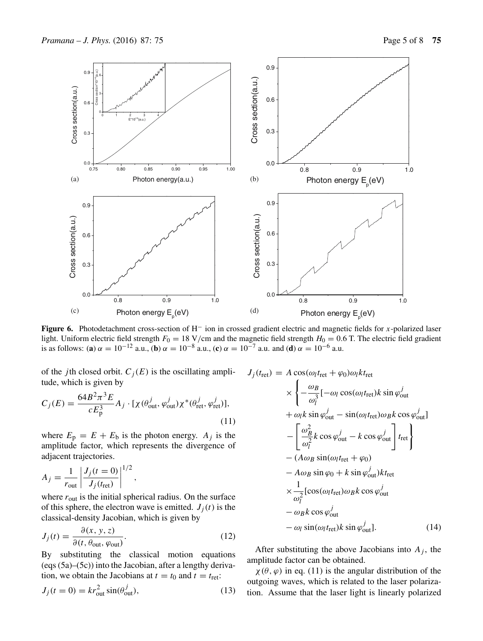

**Figure 6.** Photodetachment cross-section of H− ion in crossed gradient electric and magnetic fields for x-polarized laser light. Uniform electric field strength  $F_0 = 18$  V/cm and the magnetic field strength  $H_0 = 0.6$  T. The electric field gradient is as follows: (**a**)  $\alpha = 10^{-12}$  a.u., (**b**)  $\alpha = 10^{-8}$  a.u., (**c**)  $\alpha = 10^{-7}$  a.u. and (**d**)  $\alpha = 10^{-6}$  a.u.

of the *j*th closed orbit.  $C_j(E)$  is the oscillating ampli-  $J_j(t_{\text{ret}}) = A \cos(\omega_l t_{\text{ret}} + \varphi_0) \omega_l kt_{\text{ret}}$ tude, which is given by

$$
C_j(E) = \frac{64B^2\pi^3 E}{cE_p^3} A_j \cdot [\chi(\theta_{\text{out}}^j, \varphi_{\text{out}}^j)\chi^*(\theta_{\text{ret}}^j, \varphi_{\text{ret}}^j)],
$$
\n(11)

where  $E_p = E + E_b$  is the photon energy.  $A_j$  is the amplitude factor, which represents the divergence of adjacent trajectories.

$$
A_j = \frac{1}{r_{\text{out}}} \left| \frac{J_j(t=0)}{J_j(t_{\text{ret}})} \right|^{1/2},
$$

where  $r_{\text{out}}$  is the initial spherical radius. On the surface of this sphere, the electron wave is emitted.  $J_i(t)$  is the classical-density Jacobian, which is given by

$$
J_j(t) = \frac{\partial(x, y, z)}{\partial(t, \theta_{\text{out}}, \varphi_{\text{out}})}.
$$
 (12)

By substituting the classical motion equations (eqs (5a)–(5c)) into the Jacobian, after a lengthy derivation, we obtain the Jacobians at  $t = t_0$  and  $t = t_{\text{ret}}$ :

$$
J_j(t=0) = kr_{\text{out}}^2 \sin(\theta_{\text{out}}^j),\tag{13}
$$

$$
\times \left\{ -\frac{\omega_B}{\omega_l^3} [-\omega_l \cos(\omega_l t_{\rm ret}) k \sin \varphi_{\rm out}^j + \omega_l k \sin \varphi_{\rm out}^j - \sin(\omega_l t_{\rm ret}) \omega_B k \cos \varphi_{\rm out}^j ] \right. \\ \left. - \left[ \frac{\omega_B^2}{\omega_l^2} k \cos \varphi_{\rm out}^j - k \cos \varphi_{\rm out}^j \right] t_{\rm ret} \right\} \\ \left. - (A \omega_B \sin(\omega_l t_{\rm ret} + \varphi_0) - A \omega_B \sin \varphi_0 + k \sin \varphi_{\rm out}^j) k t_{\rm ret} \right. \\ \left. \times \frac{1}{\omega_l^2} [\cos(\omega_l t_{\rm ret}) \omega_B k \cos \varphi_{\rm out}^j - \omega_B k \cos \varphi_{\rm out}^j - \omega_l \sin(\omega_l t_{\rm ret}) k \sin \varphi_{\rm out}^j]. \tag{14}
$$

After substituting the above Jacobians into  $A_i$ , the amplitude factor can be obtained.

 $\chi(\theta, \varphi)$  in eq. (11) is the angular distribution of the outgoing waves, which is related to the laser polarization. Assume that the laser light is linearly polarized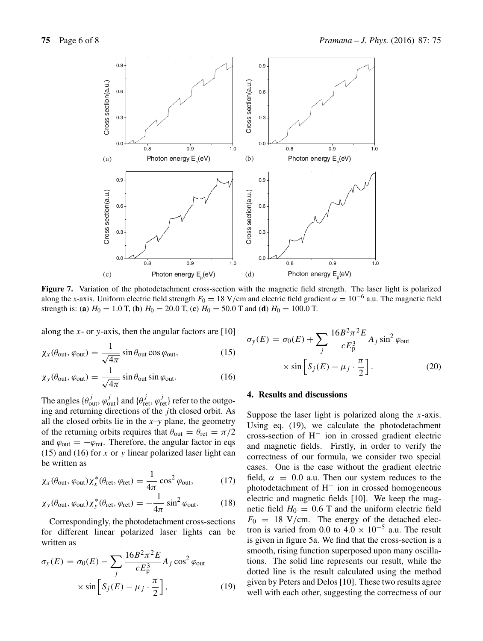

**Figure 7.** Variation of the photodetachment cross-section with the magnetic field strength. The laser light is polarized along the *x*-axis. Uniform electric field strength  $F_0 = 18 \text{ V/cm}$  and electric field gradient  $\alpha = 10^{-6}$  a.u. The magnetic field strength is: (a)  $H_0 = 1.0$  T, (b)  $H_0 = 20.0$  T, (c)  $H_0 = 50.0$  T and (d)  $H_0 = 100.0$  T.

along the x- or y-axis, then the angular factors are  $[10]$ 

$$
\chi_x(\theta_{\text{out}}, \varphi_{\text{out}}) = \frac{1}{\sqrt{4\pi}} \sin \theta_{\text{out}} \cos \varphi_{\text{out}},
$$
 (15)

$$
\chi_{y}(\theta_{\text{out}}, \varphi_{\text{out}}) = \frac{1}{\sqrt{4\pi}} \sin \theta_{\text{out}} \sin \varphi_{\text{out}}.
$$
 (16)

The angles  $\{\theta_{out}^j, \varphi_{out}^j\}$  and  $\{\theta_{ret}^j, \varphi_{ret}^j\}$  refer to the outgoing and returning directions of the *j*th closed orbit. As all the closed orbits lie in the *x*–*y* plane, the geometry of the returning orbits requires that  $\theta_{\text{out}} = \theta_{\text{ret}} = \pi/2$ and  $\varphi_{\text{out}} = -\varphi_{\text{ret}}$ . Therefore, the angular factor in eqs  $(15)$  and  $(16)$  for x or y linear polarized laser light can be written as

$$
\chi_x(\theta_{\text{out}}, \varphi_{\text{out}}) \chi_x^*(\theta_{\text{ret}}, \varphi_{\text{ret}}) = \frac{1}{4\pi} \cos^2 \varphi_{\text{out}},
$$
 (17)

$$
\chi_{y}(\theta_{\text{out}}, \varphi_{\text{out}}) \chi_{y}^{*}(\theta_{\text{ret}}, \varphi_{\text{ret}}) = -\frac{1}{4\pi} \sin^{2} \varphi_{\text{out}}.
$$
 (18)

Correspondingly, the photodetachment cross-sections for different linear polarized laser lights can be written as

$$
\sigma_x(E) = \sigma_0(E) - \sum_j \frac{16B^2 \pi^2 E}{cE_p^3} A_j \cos^2 \varphi_{\text{out}}
$$

$$
\times \sin \left[ S_j(E) - \mu_j \cdot \frac{\pi}{2} \right], \tag{19}
$$

$$
\sigma_y(E) = \sigma_0(E) + \sum_j \frac{16B^2 \pi^2 E}{cE_p^3} A_j \sin^2 \varphi_{\text{out}}
$$

$$
\times \sin \left[ S_j(E) - \mu_j \cdot \frac{\pi}{2} \right].
$$
 (20)

#### **4. Results and discussions**

Suppose the laser light is polarized along the  $x$ -axis. Using eq. (19), we calculate the photodetachment cross-section of H− ion in crossed gradient electric and magnetic fields. Firstly, in order to verify the correctness of our formula, we consider two special cases. One is the case without the gradient electric field,  $\alpha = 0.0$  a.u. Then our system reduces to the photodetachment of H− ion in crossed homogeneous electric and magnetic fields [10]. We keep the magnetic field  $H_0 = 0.6$  T and the uniform electric field  $F_0 = 18$  V/cm. The energy of the detached electron is varied from 0.0 to  $4.0 \times 10^{-5}$  a.u. The result is given in figure 5a. We find that the cross-section is a smooth, rising function superposed upon many oscillations. The solid line represents our result, while the dotted line is the result calculated using the method given by Peters and Delos [10]. These two results agree well with each other, suggesting the correctness of our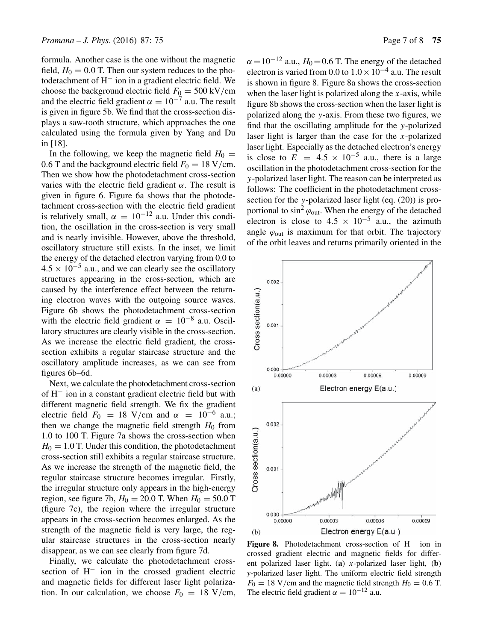formula. Another case is the one without the magnetic field,  $H_0 = 0.0$  T. Then our system reduces to the photodetachment of H− ion in a gradient electric field. We choose the background electric field  $F_0 = 500 \text{ kV/cm}$ and the electric field gradient  $\alpha = 10^{-7}$  a.u. The result is given in figure 5b. We find that the cross-section displays a saw-tooth structure, which approaches the one calculated using the formula given by Yang and Du in [18].

In the following, we keep the magnetic field  $H_0 =$ 0.6 T and the background electric field  $F_0 = 18$  V/cm. Then we show how the photodetachment cross-section varies with the electric field gradient  $\alpha$ . The result is given in figure 6. Figure 6a shows that the photodetachment cross-section with the electric field gradient is relatively small,  $\alpha = 10^{-12}$  a.u. Under this condition, the oscillation in the cross-section is very small and is nearly invisible. However, above the threshold, oscillatory structure still exists. In the inset, we limit the energy of the detached electron varying from 0.0 to  $4.5 \times 10^{-5}$  a.u., and we can clearly see the oscillatory structures appearing in the cross-section, which are caused by the interference effect between the returning electron waves with the outgoing source waves. Figure 6b shows the photodetachment cross-section with the electric field gradient  $\alpha = 10^{-8}$  a.u. Oscillatory structures are clearly visible in the cross-section. As we increase the electric field gradient, the crosssection exhibits a regular staircase structure and the oscillatory amplitude increases, as we can see from figures 6b–6d.

Next, we calculate the photodetachment cross-section of H− ion in a constant gradient electric field but with different magnetic field strength. We fix the gradient electric field  $F_0 = 18$  V/cm and  $\alpha = 10^{-6}$  a.u.; then we change the magnetic field strength  $H_0$  from 1.0 to 100 T. Figure 7a shows the cross-section when  $H_0 = 1.0$  T. Under this condition, the photodetachment cross-section still exhibits a regular staircase structure. As we increase the strength of the magnetic field, the regular staircase structure becomes irregular. Firstly, the irregular structure only appears in the high-energy region, see figure 7b,  $H_0 = 20.0$  T. When  $H_0 = 50.0$  T (figure 7c), the region where the irregular structure appears in the cross-section becomes enlarged. As the strength of the magnetic field is very large, the regular staircase structures in the cross-section nearly disappear, as we can see clearly from figure 7d.

Finally, we calculate the photodetachment crosssection of H<sup>−</sup> ion in the crossed gradient electric and magnetic fields for different laser light polarization. In our calculation, we choose  $F_0 = 18$  V/cm,  $\alpha = 10^{-12}$  a.u.,  $H_0 = 0.6$  T. The energy of the detached electron is varied from 0.0 to  $1.0 \times 10^{-4}$  a.u. The result is shown in figure 8. Figure 8a shows the cross-section when the laser light is polarized along the  $x$ -axis, while figure 8b shows the cross-section when the laser light is polarized along the y-axis. From these two figures, we find that the oscillating amplitude for the y-polarized laser light is larger than the case for the x-polarized laser light. Especially as the detached electron's energy is close to  $E = 4.5 \times 10^{-5}$  a.u., there is a large oscillation in the photodetachment cross-section for the y-polarized laser light. The reason can be interpreted as follows: The coefficient in the photodetachment crosssection for the y-polarized laser light (eq. (20)) is proportional to  $\sin^2 \varphi_{\text{out}}$ . When the energy of the detached electron is close to  $4.5 \times 10^{-5}$  a.u., the azimuth angle  $\varphi_{\text{out}}$  is maximum for that orbit. The trajectory of the orbit leaves and returns primarily oriented in the



**Figure 8.** Photodetachment cross-section of H− ion in crossed gradient electric and magnetic fields for different polarized laser light. (**a**) x-polarized laser light, (**b**) *y*-polarized laser light. The uniform electric field strength  $F_0 = 18 \text{ V/cm}$  and the magnetic field strength  $H_0 = 0.6 \text{ T}$ . The electric field gradient  $\alpha = 10^{-12}$  a.u.